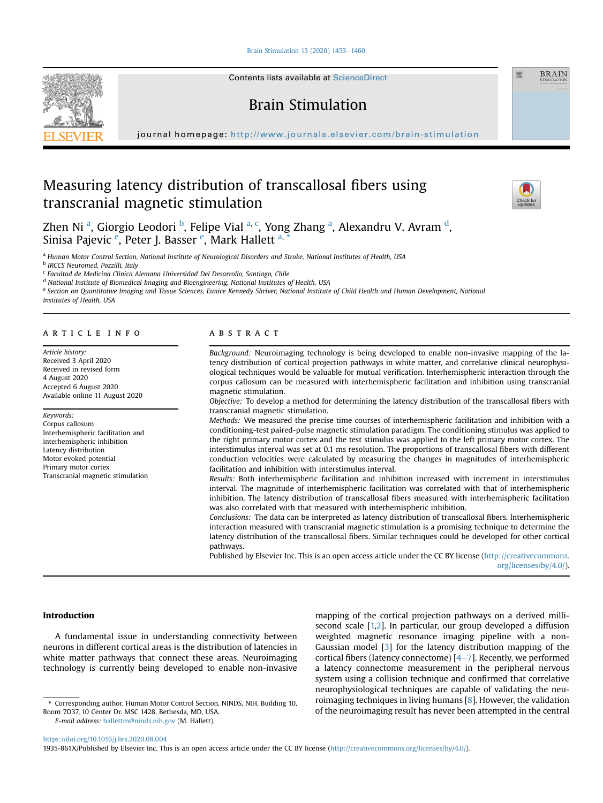[Brain Stimulation 13 \(2020\) 1453](https://doi.org/10.1016/j.brs.2020.08.004)-[1460](https://doi.org/10.1016/j.brs.2020.08.004)



Contents lists available at ScienceDirect

# Brain Stimulation

journal homepage: <http://www.journals.elsevier.com/brain-stimulation>

# Measuring latency distribution of transcallosal fibers using transcranial magnetic stimulation



靈

**BRAIN** 

Zhen Ni <sup>[a](#page-0-0)</sup>, Giorgio Leodori <sup>[b](#page-0-1)</sup>, Felipe Vial <sup>[a,](#page-0-0) [c](#page-0-2)</sup>, Yong Zhang <sup>a</sup>, Alexan[d](#page-0-3)ru V. Avram <sup>d</sup>, Sinisa Paj[e](#page-0-4)vic <sup>e</sup>, Peter J. Basser <sup>e</sup>, Mark Hallett <sup>[a,](#page-0-0) [\\*](#page-0-5)</sup>

<span id="page-0-0"></span>a Human Motor Control Section, National Institute of Neurological Disorders and Stroke, National Institutes of Health, USA

<span id="page-0-1"></span><sup>b</sup> IRCCS Neuromed, Pozzilli, Italy

<span id="page-0-2"></span><sup>c</sup> Facultad de Medicina Clinica Alemana Universidad Del Desarrollo, Santiago, Chile

<span id="page-0-3"></span><sup>d</sup> National Institute of Biomedical Imaging and Bioengineering, National Institutes of Health, USA

<span id="page-0-4"></span>e Section on Quantitative Imaging and Tissue Sciences, Eunice Kennedy Shriver, National Institute of Child Health and Human Development, National Institutes of Health, USA

#### article info

Article history: Received 3 April 2020 Received in revised form 4 August 2020 Accepted 6 August 2020 Available online 11 August 2020

#### Keywords:

Corpus callosum Interhemispheric facilitation and interhemispheric inhibition Latency distribution Motor evoked potential Primary motor cortex Transcranial magnetic stimulation

## **ABSTRACT**

Background: Neuroimaging technology is being developed to enable non-invasive mapping of the latency distribution of cortical projection pathways in white matter, and correlative clinical neurophysiological techniques would be valuable for mutual verification. Interhemispheric interaction through the corpus callosum can be measured with interhemispheric facilitation and inhibition using transcranial magnetic stimulation.

Objective: To develop a method for determining the latency distribution of the transcallosal fibers with transcranial magnetic stimulation.

Methods: We measured the precise time courses of interhemispheric facilitation and inhibition with a conditioning-test paired-pulse magnetic stimulation paradigm. The conditioning stimulus was applied to the right primary motor cortex and the test stimulus was applied to the left primary motor cortex. The interstimulus interval was set at 0.1 ms resolution. The proportions of transcallosal fibers with different conduction velocities were calculated by measuring the changes in magnitudes of interhemispheric facilitation and inhibition with interstimulus interval.

Results: Both interhemispheric facilitation and inhibition increased with increment in interstimulus interval. The magnitude of interhemispheric facilitation was correlated with that of interhemispheric inhibition. The latency distribution of transcallosal fibers measured with interhemispheric facilitation was also correlated with that measured with interhemispheric inhibition.

Conclusions: The data can be interpreted as latency distribution of transcallosal fibers. Interhemispheric interaction measured with transcranial magnetic stimulation is a promising technique to determine the latency distribution of the transcallosal fibers. Similar techniques could be developed for other cortical pathways.

Published by Elsevier Inc. This is an open access article under the CC BY license [\(http://creativecommons.](http://creativecommons.org/licenses/by/4.0/) [org/licenses/by/4.0/](http://creativecommons.org/licenses/by/4.0/)).

# Introduction

A fundamental issue in understanding connectivity between neurons in different cortical areas is the distribution of latencies in white matter pathways that connect these areas. Neuroimaging technology is currently being developed to enable non-invasive

<https://doi.org/10.1016/j.brs.2020.08.004>

mapping of the cortical projection pathways on a derived millisecond scale [\[1,](#page-6-0)[2\]](#page-6-1). In particular, our group developed a diffusion weighted magnetic resonance imaging pipeline with a non-Gaussian model [[3\]](#page-6-2) for the latency distribution mapping of the cortical fibers (latency connectome)  $[4-7]$  $[4-7]$  $[4-7]$  $[4-7]$ . Recently, we performed a latency connectome measurement in the peripheral nervous system using a collision technique and confirmed that correlative neurophysiological techniques are capable of validating the neuroimaging techniques in living humans [\[8\]](#page-6-4). However, the validation corresponding author. Human Motor Control Section, NINDS, NIH, Building 10, TOIMaging rechniques in iiving numans [8]. However, the validation \* Corresponding author. Human Motor Control Section, NINDS, NIH, Building 10, T

1935-861X/Published by Elsevier Inc. This is an open access article under the CC BY license (<http://creativecommons.org/licenses/by/4.0/>).

<span id="page-0-5"></span>Room 7D37, 10 Center Dr. MSC 1428, Bethesda, MD, USA.

E-mail address: [hallettm@ninds.nih.gov](mailto:hallettm@ninds.nih.gov) (M. Hallett).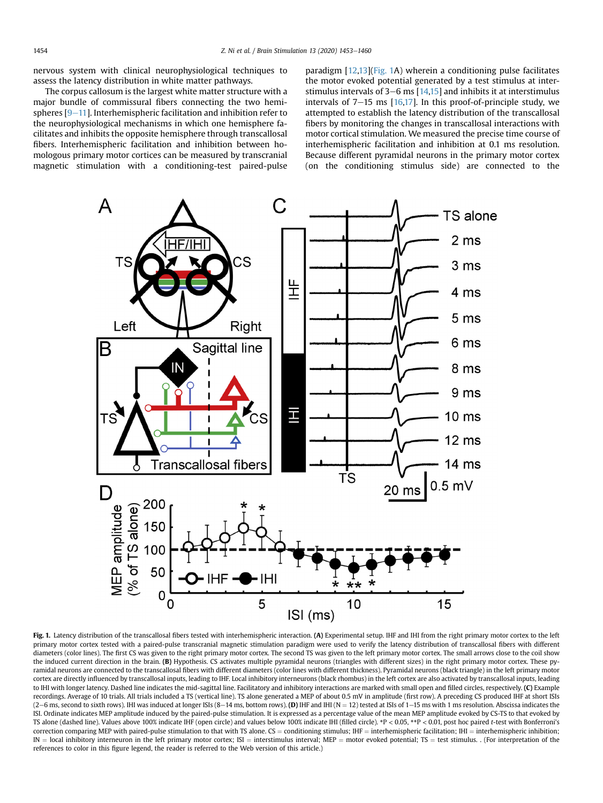nervous system with clinical neurophysiological techniques to assess the latency distribution in white matter pathways.

The corpus callosum is the largest white matter structure with a major bundle of commissural fibers connecting the two hemispheres  $[9-11]$  $[9-11]$  $[9-11]$  $[9-11]$  $[9-11]$ . Interhemispheric facilitation and inhibition refer to the neurophysiological mechanisms in which one hemisphere facilitates and inhibits the opposite hemisphere through transcallosal fibers. Interhemispheric facilitation and inhibition between homologous primary motor cortices can be measured by transcranial magnetic stimulation with a conditioning-test paired-pulse

paradigm [[12,](#page-6-6)[13](#page-6-7)][\(Fig. 1](#page-1-0)A) wherein a conditioning pulse facilitates the motor evoked potential generated by a test stimulus at interstimulus intervals of  $3-6$  ms  $[14,15]$  $[14,15]$  and inhibits it at interstimulus intervals of  $7-15$  ms  $[16,17]$  $[16,17]$ . In this proof-of-principle study, we attempted to establish the latency distribution of the transcallosal fibers by monitoring the changes in transcallosal interactions with motor cortical stimulation. We measured the precise time course of interhemispheric facilitation and inhibition at 0.1 ms resolution. Because different pyramidal neurons in the primary motor cortex (on the conditioning stimulus side) are connected to the

<span id="page-1-0"></span>

Fig. 1. Latency distribution of the transcallosal fibers tested with interhemispheric interaction. (A) Experimental setup. IHF and IHI from the right primary motor cortex to the left primary motor cortex tested with a paired-pulse transcranial magnetic stimulation paradigm were used to verify the latency distribution of transcallosal fibers with different diameters (color lines). The first CS was given to the right primary motor cortex. The second TS was given to the left primary motor cortex. The small arrows close to the coil show the induced current direction in the brain. (B) Hypothesis. CS activates multiple pyramidal neurons (triangles with different sizes) in the right primary motor cortex. These pyramidal neurons are connected to the transcallosal fibers with different diameters (color lines with different thickness). Pyramidal neurons (black triangle) in the left primary motor cortex are directly influenced by transcallosal inputs, leading to IHF. Local inhibitory interneurons (black rhombus) in the left cortex are also activated by transcallosal inputs, leading to IHI with longer latency. Dashed line indicates the mid-sagittal line. Facilitatory and inhibitory interactions are marked with small open and filled circles, respectively. (C) Example recordings. Average of 10 trials. All trials included a TS (vertical line). TS alone generated a MEP of about 0.5 mV in amplitude (first row). A preceding CS produced IHF at short ISIs (2-6 ms, second to sixth rows). IHI was induced at longer ISIs (8-14 ms, bottom rows). (D) IHF and IHI (N = 12) tested at ISIs of 1-15 ms with 1 ms resolution. Abscissa indicates the ISI. Ordinate indicates MEP amplitude induced by the paired-pulse stimulation. It is expressed as a percentage value of the mean MEP amplitude evoked by CS-TS to that evoked by TS alone (dashed line). Values above 100% indicate IHF (open circle) and values below 100% indicate IHI (filled circle). \*P < 0.05, \*\*P < 0.01, post hoc paired t-test with Bonferroni's correction comparing MEP with paired-pulse stimulation to that with TS alone. CS = conditioning stimulus; IHF = interhemispheric facilitation; IHI = interhemispheric inhibition;  $IN = local$  inhibitory interneuron in the left primary motor cortex;  $IS =$  interstimulus interval; MEP = motor evoked potential; TS = test stimulus. . (For interpretation of the references to color in this figure legend, the reader is referred to the Web version of this article.)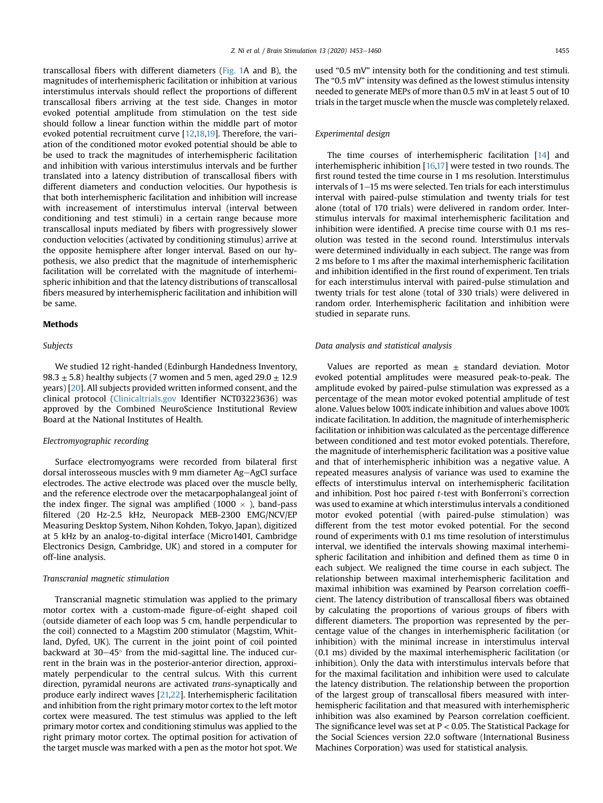transcallosal fibers with different diameters ([Fig. 1A](#page-1-0) and B), the magnitudes of interhemispheric facilitation or inhibition at various interstimulus intervals should reflect the proportions of different transcallosal fibers arriving at the test side. Changes in motor evoked potential amplitude from stimulation on the test side should follow a linear function within the middle part of motor evoked potential recruitment curve [[12](#page-6-6),[18](#page-6-12)[,19\]](#page-6-13). Therefore, the variation of the conditioned motor evoked potential should be able to be used to track the magnitudes of interhemispheric facilitation and inhibition with various interstimulus intervals and be further translated into a latency distribution of transcallosal fibers with different diameters and conduction velocities. Our hypothesis is that both interhemispheric facilitation and inhibition will increase with increasement of interstimulus interval (interval between conditioning and test stimuli) in a certain range because more transcallosal inputs mediated by fibers with progressively slower conduction velocities (activated by conditioning stimulus) arrive at the opposite hemisphere after longer interval. Based on our hypothesis, we also predict that the magnitude of interhemispheric facilitation will be correlated with the magnitude of interhemispheric inhibition and that the latency distributions of transcallosal fibers measured by interhemispheric facilitation and inhibition will be same.

## Methods

## Subjects

We studied 12 right-handed (Edinburgh Handedness Inventory, 98.3  $\pm$  5.8) healthy subjects (7 women and 5 men, aged 29.0  $\pm$  12.9 years) [\[20](#page-6-14)]. All subjects provided written informed consent, and the clinical protocol [\(Clinicaltrials.gov](http://Clinicaltrials.gov) Identifier NCT03223636) was approved by the Combined NeuroScience Institutional Review Board at the National Institutes of Health.

#### Electromyographic recording

Surface electromyograms were recorded from bilateral first dorsal interosseous muscles with 9 mm diameter  $Ag-AgCl$  surface electrodes. The active electrode was placed over the muscle belly, and the reference electrode over the metacarpophalangeal joint of the index finger. The signal was amplified  $(1000 \times)$ , band-pass filtered (20 Hz-2.5 kHz, Neuropack MEB-2300 EMG/NCV/EP Measuring Desktop System, Nihon Kohden, Tokyo, Japan), digitized at 5 kHz by an analog-to-digital interface (Micro1401, Cambridge Electronics Design, Cambridge, UK) and stored in a computer for off-line analysis.

## Transcranial magnetic stimulation

Transcranial magnetic stimulation was applied to the primary motor cortex with a custom-made figure-of-eight shaped coil (outside diameter of each loop was 5 cm, handle perpendicular to the coil) connected to a Magstim 200 stimulator (Magstim, Whitland, Dyfed, UK). The current in the joint point of coil pointed backward at  $30-45^\circ$  from the mid-sagittal line. The induced current in the brain was in the posterior-anterior direction, approximately perpendicular to the central sulcus. With this current direction, pyramidal neurons are activated trans-synaptically and produce early indirect waves [\[21,](#page-6-15)[22](#page-6-16)]. Interhemispheric facilitation and inhibition from the right primary motor cortex to the left motor cortex were measured. The test stimulus was applied to the left primary motor cortex and conditioning stimulus was applied to the right primary motor cortex. The optimal position for activation of the target muscle was marked with a pen as the motor hot spot. We

used "0.5 mV" intensity both for the conditioning and test stimuli. The "0.5 mV" intensity was defined as the lowest stimulus intensity needed to generate MEPs of more than 0.5 mV in at least 5 out of 10 trials in the target muscle when the muscle was completely relaxed.

### Experimental design

The time courses of interhemispheric facilitation [\[14](#page-6-8)] and interhemispheric inhibition [[16,](#page-6-10)[17\]](#page-6-11) were tested in two rounds. The first round tested the time course in 1 ms resolution. Interstimulus  $intervals of 1–15 ms were selected.$  Ten trials for each interstimulus interval with paired-pulse stimulation and twenty trials for test alone (total of 170 trials) were delivered in random order. Interstimulus intervals for maximal interhemispheric facilitation and inhibition were identified. A precise time course with 0.1 ms resolution was tested in the second round. Interstimulus intervals were determined individually in each subject. The range was from 2 ms before to 1 ms after the maximal interhemispheric facilitation and inhibition identified in the first round of experiment. Ten trials for each interstimulus interval with paired-pulse stimulation and twenty trials for test alone (total of 330 trials) were delivered in random order. Interhemispheric facilitation and inhibition were studied in separate runs.

# Data analysis and statistical analysis

Values are reported as mean  $\pm$  standard deviation. Motor evoked potential amplitudes were measured peak-to-peak. The amplitude evoked by paired-pulse stimulation was expressed as a percentage of the mean motor evoked potential amplitude of test alone. Values below 100% indicate inhibition and values above 100% indicate facilitation. In addition, the magnitude of interhemispheric facilitation or inhibition was calculated as the percentage difference between conditioned and test motor evoked potentials. Therefore, the magnitude of interhemispheric facilitation was a positive value and that of interhemispheric inhibition was a negative value. A repeated measures analysis of variance was used to examine the effects of interstimulus interval on interhemispheric facilitation and inhibition. Post hoc paired t-test with Bonferroni's correction was used to examine at which interstimulus intervals a conditioned motor evoked potential (with paired-pulse stimulation) was different from the test motor evoked potential. For the second round of experiments with 0.1 ms time resolution of interstimulus interval, we identified the intervals showing maximal interhemispheric facilitation and inhibition and defined them as time 0 in each subject. We realigned the time course in each subject. The relationship between maximal interhemispheric facilitation and maximal inhibition was examined by Pearson correlation coefficient. The latency distribution of transcallosal fibers was obtained by calculating the proportions of various groups of fibers with different diameters. The proportion was represented by the percentage value of the changes in interhemispheric facilitation (or inhibition) with the minimal increase in interstimulus interval (0.1 ms) divided by the maximal interhemispheric facilitation (or inhibition). Only the data with interstimulus intervals before that for the maximal facilitation and inhibition were used to calculate the latency distribution. The relationship between the proportion of the largest group of transcallosal fibers measured with interhemispheric facilitation and that measured with interhemispheric inhibition was also examined by Pearson correlation coefficient. The significance level was set at  $P < 0.05$ . The Statistical Package for the Social Sciences version 22.0 software (International Business Machines Corporation) was used for statistical analysis.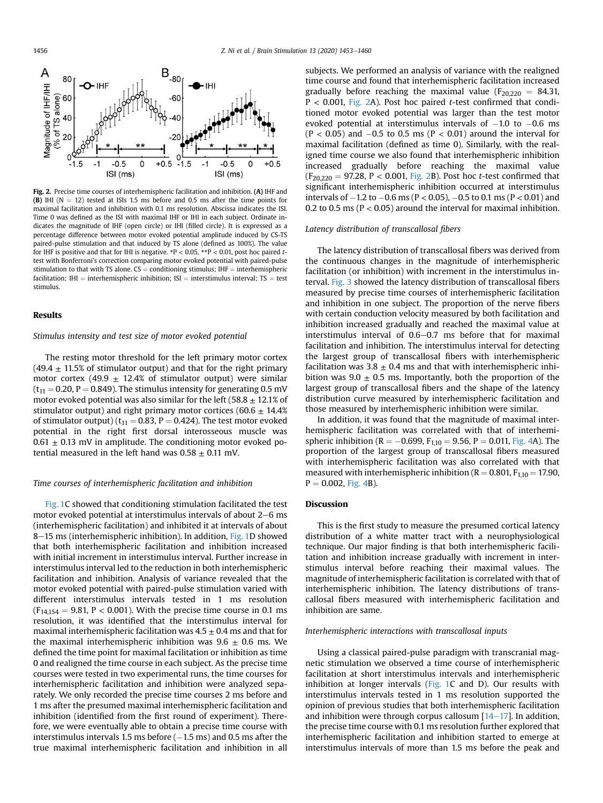<span id="page-3-0"></span>

Fig. 2. Precise time courses of interhemispheric facilitation and inhibition. (A) IHF and (B) IHI ( $N = 12$ ) tested at ISIs 1.5 ms before and 0.5 ms after the time points for maximal facilitation and inhibition with 0.1 ms resolution. Abscissa indicates the ISI. Time 0 was defined as the ISI with maximal IHF or IHI in each subject. Ordinate indicates the magnitude of IHF (open circle) or IHI (filled circle). It is expressed as a percentage difference between motor evoked potential amplitude induced by CS-TS paired-pulse stimulation and that induced by TS alone (defined as 100%). The value for IHF is positive and that for IHI is negative.  $*P < 0.05$ ,  $*P < 0.01$ , post hoc paired ttest with Bonferroni's correction comparing motor evoked potential with paired-pulse stimulation to that with TS alone.  $CS =$  conditioning stimulus; IHF  $=$  interhemispheric facilitation; IHI = interhemispheric inhibition; ISI = interstimulus interval; TS = test stimulus.

### Results

Stimulus intensity and test size of motor evoked potential

The resting motor threshold for the left primary motor cortex  $(49.4 \pm 11.5\%$  of stimulator output) and that for the right primary motor cortex (49.9  $\pm$  12.4% of stimulator output) were similar  $(t_{11} = 0.20, P = 0.849)$ . The stimulus intensity for generating 0.5 mV motor evoked potential was also similar for the left (58.8  $\pm$  12.1% of stimulator output) and right primary motor cortices (60.6  $\pm$  14.4% of stimulator output) ( $t_{11} = 0.83$ , P = 0.424). The test motor evoked potential in the right first dorsal interosseous muscle was  $0.61 \pm 0.13$  mV in amplitude. The conditioning motor evoked potential measured in the left hand was  $0.58 \pm 0.11$  mV.

#### Time courses of interhemispheric facilitation and inhibition

[Fig. 1](#page-1-0)C showed that conditioning stimulation facilitated the test motor evoked potential at interstimulus intervals of about  $2-6$  ms (interhemispheric facilitation) and inhibited it at intervals of about 8-15 ms (interhemispheric inhibition). In addition, [Fig. 1D](#page-1-0) showed that both interhemispheric facilitation and inhibition increased with initial increment in interstimulus interval. Further increase in interstimulus interval led to the reduction in both interhemispheric facilitation and inhibition. Analysis of variance revealed that the motor evoked potential with paired-pulse stimulation varied with different interstimulus intervals tested in 1 ms resolution  $(F_{14,154} = 9.81, P < 0.001)$ . With the precise time course in 0.1 ms resolution, it was identified that the interstimulus interval for maximal interhemispheric facilitation was  $4.5 \pm 0.4$  ms and that for the maximal interhemispheric inhibition was  $9.6 \pm 0.6$  ms. We defined the time point for maximal facilitation or inhibition as time 0 and realigned the time course in each subject. As the precise time courses were tested in two experimental runs, the time courses for interhemispheric facilitation and inhibition were analyzed separately. We only recorded the precise time courses 2 ms before and 1 ms after the presumed maximal interhemispheric facilitation and inhibition (identified from the first round of experiment). Therefore, we were eventually able to obtain a precise time course with interstimulus intervals 1.5 ms before  $(-1.5 \text{ ms})$  and 0.5 ms after the true maximal interhemispheric facilitation and inhibition in all subjects. We performed an analysis of variance with the realigned time course and found that interhemispheric facilitation increased gradually before reaching the maximal value ( $F_{20,220} = 84.31$ ,  $P < 0.001$ , [Fig. 2A](#page-3-0)). Post hoc paired t-test confirmed that conditioned motor evoked potential was larger than the test motor evoked potential at interstimulus intervals of  $-1.0$  to  $-0.6$  ms  $(P < 0.05)$  and  $-0.5$  to 0.5 ms  $(P < 0.01)$  around the interval for maximal facilitation (defined as time 0). Similarly, with the realigned time course we also found that interhemispheric inhibition increased gradually before reaching the maximal value  $(F_{20,220} = 97.28, P < 0.001, Fig. 2B)$  $(F_{20,220} = 97.28, P < 0.001, Fig. 2B)$  $(F_{20,220} = 97.28, P < 0.001, Fig. 2B)$ . Post hoc *t*-test confirmed that significant interhemispheric inhibition occurred at interstimulus intervals of  $-1.2$  to  $-0.6$  ms (P < 0.05),  $-0.5$  to 0.1 ms (P < 0.01) and 0.2 to 0.5 ms ( $P < 0.05$ ) around the interval for maximal inhibition.

#### Latency distribution of transcallosal fibers

The latency distribution of transcallosal fibers was derived from the continuous changes in the magnitude of interhemispheric facilitation (or inhibition) with increment in the interstimulus interval. [Fig. 3](#page-4-0) showed the latency distribution of transcallosal fibers measured by precise time courses of interhemispheric facilitation and inhibition in one subject. The proportion of the nerve fibers with certain conduction velocity measured by both facilitation and inhibition increased gradually and reached the maximal value at interstimulus interval of  $0.6-0.7$  ms before that for maximal facilitation and inhibition. The interstimulus interval for detecting the largest group of transcallosal fibers with interhemispheric facilitation was  $3.8 \pm 0.4$  ms and that with interhemispheric inhibition was  $9.0 \pm 0.5$  ms. Importantly, both the proportion of the largest group of transcallosal fibers and the shape of the latency distribution curve measured by interhemispheric facilitation and those measured by interhemispheric inhibition were similar.

In addition, it was found that the magnitude of maximal interhemispheric facilitation was correlated with that of interhemispheric inhibition (R =  $-0.699$ , F<sub>1,10</sub> = 9.56, P = 0.011, [Fig. 4](#page-4-1)A). The proportion of the largest group of transcallosal fibers measured with interhemispheric facilitation was also correlated with that measured with interhemispheric inhibition ( $R = 0.801$ ,  $F_{1,10} = 17.90$ ,  $P = 0.002$ , [Fig. 4B](#page-4-1)).

## Discussion

This is the first study to measure the presumed cortical latency distribution of a white matter tract with a neurophysiological technique. Our major finding is that both interhemispheric facilitation and inhibition increase gradually with increment in interstimulus interval before reaching their maximal values. The magnitude of interhemispheric facilitation is correlated with that of interhemispheric inhibition. The latency distributions of transcallosal fibers measured with interhemispheric facilitation and inhibition are same.

#### Interhemispheric interactions with transcallosal inputs

Using a classical paired-pulse paradigm with transcranial magnetic stimulation we observed a time course of interhemispheric facilitation at short interstimulus intervals and interhemispheric inhibition at longer intervals [\(Fig. 1C](#page-1-0) and D). Our results with interstimulus intervals tested in 1 ms resolution supported the opinion of previous studies that both interhemispheric facilitation and inhibition were through corpus callosum  $[14-17]$  $[14-17]$  $[14-17]$  $[14-17]$  $[14-17]$ . In addition, the precise time course with 0.1 ms resolution further explored that interhemispheric facilitation and inhibition started to emerge at interstimulus intervals of more than 1.5 ms before the peak and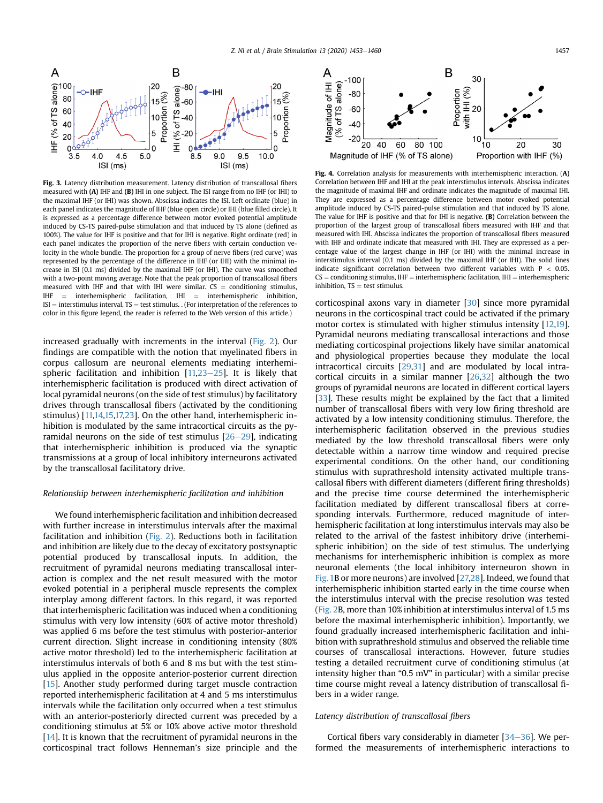<span id="page-4-0"></span>

Fig. 3. Latency distribution measurement. Latency distribution of transcallosal fibers measured with (A) IHF and (B) IHI in one subject. The ISI range from no IHF (or IHI) to the maximal IHF (or IHI) was shown. Abscissa indicates the ISI. Left ordinate (blue) in each panel indicates the magnitude of IHF (blue open circle) or IHI (blue filled circle). It is expressed as a percentage difference between motor evoked potential amplitude induced by CS-TS paired-pulse stimulation and that induced by TS alone (defined as 100%). The value for IHF is positive and that for IHI is negative. Right ordinate (red) in each panel indicates the proportion of the nerve fibers with certain conduction velocity in the whole bundle. The proportion for a group of nerve fibers (red curve) was represented by the percentage of the difference in IHF (or IHI) with the minimal increase in ISI (0.1 ms) divided by the maximal IHF (or IHI). The curve was smoothed with a two-point moving average. Note that the peak proportion of transcallosal fibers measured with IHF and that with IHI were similar.  $CS =$  conditioning stimulus, IHF  $=$  interhemispheric facilitation, IHI  $=$  interhemispheric inhibition, interhemispheric facilitation, IHI  $ISI =$  interstimulus interval, TS = test stimulus. . (For interpretation of the references to color in this figure legend, the reader is referred to the Web version of this article.)

increased gradually with increments in the interval ([Fig. 2](#page-3-0)). Our findings are compatible with the notion that myelinated fibers in corpus callosum are neuronal elements mediating interhemispheric facilitation and inhibition  $[11,23-25]$  $[11,23-25]$  $[11,23-25]$  $[11,23-25]$  $[11,23-25]$ . It is likely that interhemispheric facilitation is produced with direct activation of local pyramidal neurons (on the side of test stimulus) by facilitatory drives through transcallosal fibers (activated by the conditioning stimulus) [[11](#page-6-17)[,14,](#page-6-8)[15](#page-6-9),[17,](#page-6-11)[23\]](#page-6-18). On the other hand, interhemispheric inhibition is modulated by the same intracortical circuits as the pyramidal neurons on the side of test stimulus  $[26-29]$  $[26-29]$  $[26-29]$  $[26-29]$ , indicating that interhemispheric inhibition is produced via the synaptic transmissions at a group of local inhibitory interneurons activated by the transcallosal facilitatory drive.

#### Relationship between interhemispheric facilitation and inhibition

We found interhemispheric facilitation and inhibition decreased with further increase in interstimulus intervals after the maximal facilitation and inhibition [\(Fig. 2](#page-3-0)). Reductions both in facilitation and inhibition are likely due to the decay of excitatory postsynaptic potential produced by transcallosal inputs. In addition, the recruitment of pyramidal neurons mediating transcallosal interaction is complex and the net result measured with the motor evoked potential in a peripheral muscle represents the complex interplay among different factors. In this regard, it was reported that interhemispheric facilitation was induced when a conditioning stimulus with very low intensity (60% of active motor threshold) was applied 6 ms before the test stimulus with posterior-anterior current direction. Slight increase in conditioning intensity (80% active motor threshold) led to the interhemispheric facilitation at interstimulus intervals of both 6 and 8 ms but with the test stimulus applied in the opposite anterior-posterior current direction [\[15](#page-6-9)]. Another study performed during target muscle contraction reported interhemispheric facilitation at 4 and 5 ms interstimulus intervals while the facilitation only occurred when a test stimulus with an anterior-posteriorly directed current was preceded by a conditioning stimulus at 5% or 10% above active motor threshold [\[14](#page-6-8)]. It is known that the recruitment of pyramidal neurons in the corticospinal tract follows Henneman's size principle and the

<span id="page-4-1"></span>

Fig. 4. Correlation analysis for measurements with interhemispheric interaction. (A) Correlation between IHF and IHI at the peak interstimulus intervals. Abscissa indicates the magnitude of maximal IHF and ordinate indicates the magnitude of maximal IHI. They are expressed as a percentage difference between motor evoked potential amplitude induced by CS-TS paired-pulse stimulation and that induced by TS alone. The value for IHF is positive and that for IHI is negative. (B) Correlation between the proportion of the largest group of transcallosal fibers measured with IHF and that measured with IHI. Abscissa indicates the proportion of transcallosal fibers measured with IHF and ordinate indicate that measured with IHI. They are expressed as a percentage value of the largest change in IHF (or IHI) with the minimal increase in interstimulus interval (0.1 ms) divided by the maximal IHF (or IHI). The solid lines indicate significant correlation between two different variables with  $P < 0.05$ .  $CS =$  conditioning stimulus, IHF = interhemispheric facilitation, IHI = interhemispheric inhibition,  $TS = test$  stimulus.

corticospinal axons vary in diameter [\[30\]](#page-6-20) since more pyramidal neurons in the corticospinal tract could be activated if the primary motor cortex is stimulated with higher stimulus intensity [\[12](#page-6-6)[,19\]](#page-6-13). Pyramidal neurons mediating transcallosal interactions and those mediating corticospinal projections likely have similar anatomical and physiological properties because they modulate the local intracortical circuits [[29](#page-6-21)[,31](#page-6-22)] and are modulated by local intracortical circuits in a similar manner [\[26,](#page-6-19)[32](#page-6-23)] although the two groups of pyramidal neurons are located in different cortical layers [\[33\]](#page-6-24). These results might be explained by the fact that a limited number of transcallosal fibers with very low firing threshold are activated by a low intensity conditioning stimulus. Therefore, the interhemispheric facilitation observed in the previous studies mediated by the low threshold transcallosal fibers were only detectable within a narrow time window and required precise experimental conditions. On the other hand, our conditioning stimulus with suprathreshold intensity activated multiple transcallosal fibers with different diameters (different firing thresholds) and the precise time course determined the interhemispheric facilitation mediated by different transcallosal fibers at corresponding intervals. Furthermore, reduced magnitude of interhemispheric facilitation at long interstimulus intervals may also be related to the arrival of the fastest inhibitory drive (interhemispheric inhibition) on the side of test stimulus. The underlying mechanisms for interhemispheric inhibition is complex as more neuronal elements (the local inhibitory interneuron shown in [Fig. 1](#page-1-0)B or more neurons) are involved [\[27,](#page-6-25)[28](#page-6-26)]. Indeed, we found that interhemispheric inhibition started early in the time course when the interstimulus interval with the precise resolution was tested ([Fig. 2B](#page-3-0), more than 10% inhibition at interstimulus interval of 1.5 ms before the maximal interhemispheric inhibition). Importantly, we found gradually increased interhemispheric facilitation and inhibition with suprathreshold stimulus and observed the reliable time courses of transcallosal interactions. However, future studies testing a detailed recruitment curve of conditioning stimulus (at intensity higher than "0.5 mV" in particular) with a similar precise time course might reveal a latency distribution of transcallosal fibers in a wider range.

#### Latency distribution of transcallosal fibers

Cortical fibers vary considerably in diameter  $[34-36]$  $[34-36]$  $[34-36]$  $[34-36]$  $[34-36]$ . We performed the measurements of interhemispheric interactions to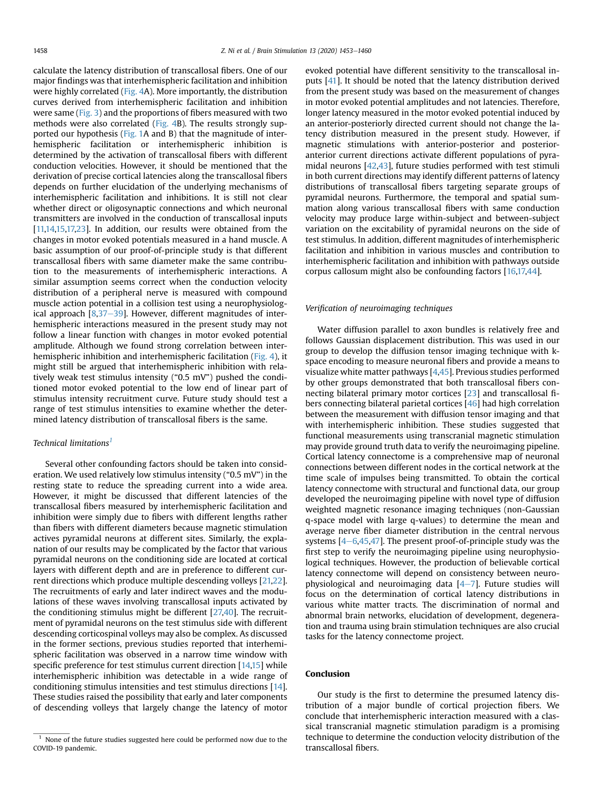calculate the latency distribution of transcallosal fibers. One of our major findings was that interhemispheric facilitation and inhibition were highly correlated ([Fig. 4](#page-4-1)A). More importantly, the distribution curves derived from interhemispheric facilitation and inhibition were same [\(Fig. 3\)](#page-4-0) and the proportions of fibers measured with two methods were also correlated ([Fig. 4B](#page-4-1)). The results strongly supported our hypothesis [\(Fig. 1A](#page-1-0) and B) that the magnitude of interhemispheric facilitation or interhemispheric inhibition is determined by the activation of transcallosal fibers with different conduction velocities. However, it should be mentioned that the derivation of precise cortical latencies along the transcallosal fibers depends on further elucidation of the underlying mechanisms of interhemispheric facilitation and inhibitions. It is still not clear whether direct or oligosynaptic connections and which neuronal transmitters are involved in the conduction of transcallosal inputs [[11,](#page-6-17)[14,](#page-6-8)[15](#page-6-9)[,17,](#page-6-11)[23\]](#page-6-18). In addition, our results were obtained from the changes in motor evoked potentials measured in a hand muscle. A basic assumption of our proof-of-principle study is that different transcallosal fibers with same diameter make the same contribution to the measurements of interhemispheric interactions. A similar assumption seems correct when the conduction velocity distribution of a peripheral nerve is measured with compound muscle action potential in a collision test using a neurophysiological approach  $[8,37-39]$  $[8,37-39]$  $[8,37-39]$  $[8,37-39]$  $[8,37-39]$ . However, different magnitudes of interhemispheric interactions measured in the present study may not follow a linear function with changes in motor evoked potential amplitude. Although we found strong correlation between interhemispheric inhibition and interhemispheric facilitation [\(Fig. 4](#page-4-1)), it might still be argued that interhemispheric inhibition with relatively weak test stimulus intensity ("0.5 mV") pushed the conditioned motor evoked potential to the low end of linear part of stimulus intensity recruitment curve. Future study should test a range of test stimulus intensities to examine whether the determined latency distribution of transcallosal fibers is the same.

# Technical limitations<sup>[1](#page-5-0)</sup>

Several other confounding factors should be taken into consideration. We used relatively low stimulus intensity ("0.5 mV") in the resting state to reduce the spreading current into a wide area. However, it might be discussed that different latencies of the transcallosal fibers measured by interhemispheric facilitation and inhibition were simply due to fibers with different lengths rather than fibers with different diameters because magnetic stimulation actives pyramidal neurons at different sites. Similarly, the explanation of our results may be complicated by the factor that various pyramidal neurons on the conditioning side are located at cortical layers with different depth and are in preference to different current directions which produce multiple descending volleys [\[21,](#page-6-15)[22](#page-6-16)]. The recruitments of early and later indirect waves and the modulations of these waves involving transcallosal inputs activated by the conditioning stimulus might be different [[27,](#page-6-25)[40\]](#page-6-29). The recruitment of pyramidal neurons on the test stimulus side with different descending corticospinal volleys may also be complex. As discussed in the former sections, previous studies reported that interhemispheric facilitation was observed in a narrow time window with specific preference for test stimulus current direction [\[14](#page-6-8)[,15](#page-6-9)] while interhemispheric inhibition was detectable in a wide range of conditioning stimulus intensities and test stimulus directions [\[14](#page-6-8)]. These studies raised the possibility that early and later components of descending volleys that largely change the latency of motor evoked potential have different sensitivity to the transcallosal inputs [\[41](#page-6-30)]. It should be noted that the latency distribution derived from the present study was based on the measurement of changes in motor evoked potential amplitudes and not latencies. Therefore, longer latency measured in the motor evoked potential induced by an anterior-posteriorly directed current should not change the latency distribution measured in the present study. However, if magnetic stimulations with anterior-posterior and posterioranterior current directions activate different populations of pyramidal neurons [[42](#page-6-31)[,43\]](#page-7-0), future studies performed with test stimuli in both current directions may identify different patterns of latency distributions of transcallosal fibers targeting separate groups of pyramidal neurons. Furthermore, the temporal and spatial summation along various transcallosal fibers with same conduction velocity may produce large within-subject and between-subject variation on the excitability of pyramidal neurons on the side of test stimulus. In addition, different magnitudes of interhemispheric facilitation and inhibition in various muscles and contribution to interhemispheric facilitation and inhibition with pathways outside corpus callosum might also be confounding factors [[16](#page-6-10)[,17,](#page-6-11)[44](#page-7-1)].

### Verification of neuroimaging techniques

Water diffusion parallel to axon bundles is relatively free and follows Gaussian displacement distribution. This was used in our group to develop the diffusion tensor imaging technique with kspace encoding to measure neuronal fibers and provide a means to visualize white matter pathways [[4](#page-6-3)[,45\]](#page-7-2). Previous studies performed by other groups demonstrated that both transcallosal fibers connecting bilateral primary motor cortices [[23](#page-6-18)] and transcallosal fibers connecting bilateral parietal cortices [[46](#page-7-3)] had high correlation between the measurement with diffusion tensor imaging and that with interhemispheric inhibition. These studies suggested that functional measurements using transcranial magnetic stimulation may provide ground truth data to verify the neuroimaging pipeline. Cortical latency connectome is a comprehensive map of neuronal connections between different nodes in the cortical network at the time scale of impulses being transmitted. To obtain the cortical latency connectome with structural and functional data, our group developed the neuroimaging pipeline with novel type of diffusion weighted magnetic resonance imaging techniques (non-Gaussian q-space model with large q-values) to determine the mean and average nerve fiber diameter distribution in the central nervous systems  $[4-6,45,47]$  $[4-6,45,47]$  $[4-6,45,47]$  $[4-6,45,47]$  $[4-6,45,47]$  $[4-6,45,47]$ . The present proof-of-principle study was the first step to verify the neuroimaging pipeline using neurophysiological techniques. However, the production of believable cortical latency connectome will depend on consistency between neurophysiological and neuroimaging data  $[4-7]$  $[4-7]$  $[4-7]$ . Future studies will focus on the determination of cortical latency distributions in various white matter tracts. The discrimination of normal and abnormal brain networks, elucidation of development, degeneration and trauma using brain stimulation techniques are also crucial tasks for the latency connectome project.

# Conclusion

Our study is the first to determine the presumed latency distribution of a major bundle of cortical projection fibers. We conclude that interhemispheric interaction measured with a classical transcranial magnetic stimulation paradigm is a promising technique to determine the conduction velocity distribution of the transcallosal fibers.

<span id="page-5-0"></span> $1$  None of the future studies suggested here could be performed now due to the COVID-19 pandemic.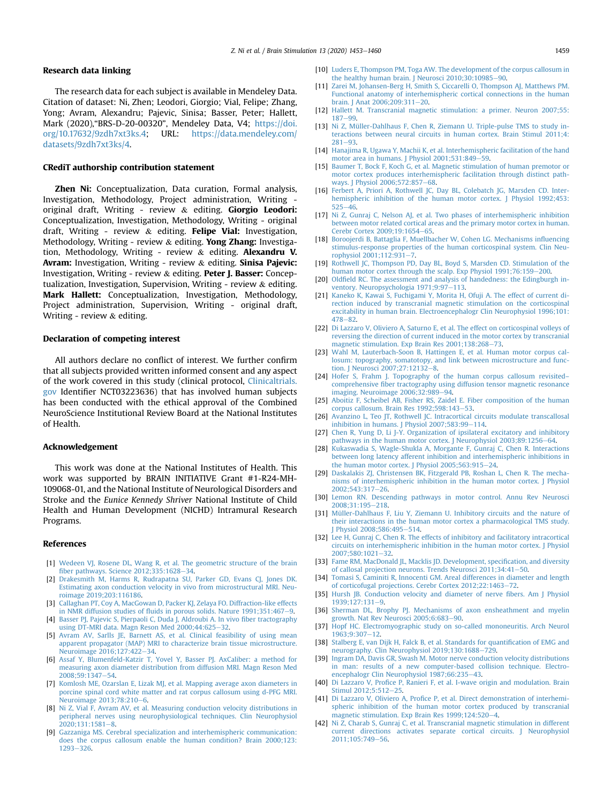## Research data linking

The research data for each subject is available in Mendeley Data. Citation of dataset: Ni, Zhen; Leodori, Giorgio; Vial, Felipe; Zhang, Yong; Avram, Alexandru; Pajevic, Sinisa; Basser, Peter; Hallett, Mark (2020),"BRS-D-20-00320", Mendeley Data, V4; [https://doi.](https://doi.org/10.17632/9zdh7xt3ks.4) [org/10.17632/9zdh7xt3ks.4](https://doi.org/10.17632/9zdh7xt3ks.4); URL: [https://data.mendeley.com/](https://data.mendeley.com/datasets/9zdh7xt3ks/4) [datasets/9zdh7xt3ks/4.](https://data.mendeley.com/datasets/9zdh7xt3ks/4)

#### CRediT authorship contribution statement

Zhen Ni: Conceptualization, Data curation, Formal analysis, Investigation, Methodology, Project administration, Writing original draft, Writing - review & editing. Giorgio Leodori: Conceptualization, Investigation, Methodology, Writing - original draft, Writing - review  $\&$  editing. Felipe Vial: Investigation, Methodology, Writing - review & editing. Yong Zhang: Investigation, Methodology, Writing - review & editing. Alexandru V. Avram: Investigation, Writing - review & editing. Sinisa Pajevic: Investigation, Writing - review & editing. Peter J. Basser: Conceptualization, Investigation, Supervision, Writing - review & editing. Mark Hallett: Conceptualization, Investigation, Methodology, Project administration, Supervision, Writing - original draft, Writing - review & editing.

#### Declaration of competing interest

All authors declare no conflict of interest. We further confirm that all subjects provided written informed consent and any aspect of the work covered in this study (clinical protocol, [Clinicaltrials.](http://Clinicaltrials.gov) [gov](http://Clinicaltrials.gov) Identifier NCT03223636) that has involved human subjects has been conducted with the ethical approval of the Combined NeuroScience Institutional Review Board at the National Institutes of Health.

#### Acknowledgement

This work was done at the National Institutes of Health. This work was supported by BRAIN INITIATIVE Grant #1-R24-MH-109068-01, and the National Institute of Neurological Disorders and Stroke and the Eunice Kennedy Shriver National Institute of Child Health and Human Development (NICHD) Intramural Research Programs.

#### References

- <span id="page-6-1"></span><span id="page-6-0"></span>[1] [Wedeen VJ, Rosene DL, Wang R, et al. The geometric structure of the brain](http://refhub.elsevier.com/S1935-861X(20)30222-9/sref1) fi[ber pathways. Science 2012;335:1628](http://refhub.elsevier.com/S1935-861X(20)30222-9/sref1)–[34](http://refhub.elsevier.com/S1935-861X(20)30222-9/sref1).
- [2] Drakesmith M, Harms R, Rudrapatna SU, Parker GD, Evans CI, Jones DK. [Estimating axon conduction velocity in vivo from microstructural MRI. Neu](http://refhub.elsevier.com/S1935-861X(20)30222-9/sref2)[roimage 2019;203:116186](http://refhub.elsevier.com/S1935-861X(20)30222-9/sref2).
- <span id="page-6-3"></span><span id="page-6-2"></span>[3] [Callaghan PT, Coy A, MacGowan D, Packer KJ, Zelaya FO. Diffraction-like effects](http://refhub.elsevier.com/S1935-861X(20)30222-9/sref3) in NMR diffusion studies of fl[uids in porous solids. Nature 1991;351:467](http://refhub.elsevier.com/S1935-861X(20)30222-9/sref3)-[9.](http://refhub.elsevier.com/S1935-861X(20)30222-9/sref3)
- [4] [Basser PJ, Pajevic S, Pierpaoli C, Duda J, Aldroubi A. In vivo](http://refhub.elsevier.com/S1935-861X(20)30222-9/sref4) fiber tractography [using DT-MRI data. Magn Reson Med 2000;44:625](http://refhub.elsevier.com/S1935-861X(20)30222-9/sref4)-[32](http://refhub.elsevier.com/S1935-861X(20)30222-9/sref4).
- [5] [Avram AV, Sarlls JE, Barnett AS, et al. Clinical feasibility of using mean](http://refhub.elsevier.com/S1935-861X(20)30222-9/sref5) [apparent propagator \(MAP\) MRI to characterize brain tissue microstructure.](http://refhub.elsevier.com/S1935-861X(20)30222-9/sref5) [Neuroimage 2016;127:422](http://refhub.elsevier.com/S1935-861X(20)30222-9/sref5)-[34.](http://refhub.elsevier.com/S1935-861X(20)30222-9/sref5)
- [6] [Assaf Y, Blumenfeld-Katzir T, Yovel Y, Basser PJ. AxCaliber: a method for](http://refhub.elsevier.com/S1935-861X(20)30222-9/sref6) [measuring axon diameter distribution from diffusion MRI. Magn Reson Med](http://refhub.elsevier.com/S1935-861X(20)30222-9/sref6)  $2008:59:1347 - 54$  $2008:59:1347 - 54$
- [7] [Komlosh ME, Ozarslan E, Lizak MJ, et al. Mapping average axon diameters in](http://refhub.elsevier.com/S1935-861X(20)30222-9/sref7) [porcine spinal cord white matter and rat corpus callosum using d-PFG MRI.](http://refhub.elsevier.com/S1935-861X(20)30222-9/sref7) Neuroimage 2013:78:210-[6](http://refhub.elsevier.com/S1935-861X(20)30222-9/sref7).
- <span id="page-6-4"></span>[8] [Ni Z, Vial F, Avram AV, et al. Measuring conduction velocity distributions in](http://refhub.elsevier.com/S1935-861X(20)30222-9/sref8) [peripheral nerves using neurophysiological techniques. Clin Neurophysiol](http://refhub.elsevier.com/S1935-861X(20)30222-9/sref8) 2020:131:15[8](http://refhub.elsevier.com/S1935-861X(20)30222-9/sref8)1-8.
- <span id="page-6-5"></span>[Gazzaniga MS. Cerebral specialization and interhemispheric communication:](http://refhub.elsevier.com/S1935-861X(20)30222-9/sref9) [does the corpus callosum enable the human condition? Brain 2000;123:](http://refhub.elsevier.com/S1935-861X(20)30222-9/sref9) [1293](http://refhub.elsevier.com/S1935-861X(20)30222-9/sref9)-[326.](http://refhub.elsevier.com/S1935-861X(20)30222-9/sref9)
- [10] [Luders E, Thompson PM, Toga AW. The development of the corpus callosum in](http://refhub.elsevier.com/S1935-861X(20)30222-9/sref10) the healthy human brain. J Neurosci  $2010;30:10985-90$ .
- <span id="page-6-17"></span>[11] [Zarei M, Johansen-Berg H, Smith S, Ciccarelli O, Thompson AJ, Matthews PM.](http://refhub.elsevier.com/S1935-861X(20)30222-9/sref11) [Functional anatomy of interhemispheric cortical connections in the human](http://refhub.elsevier.com/S1935-861X(20)30222-9/sref11) [brain. J Anat 2006;209:311](http://refhub.elsevier.com/S1935-861X(20)30222-9/sref11)-[20.](http://refhub.elsevier.com/S1935-861X(20)30222-9/sref11)
- <span id="page-6-6"></span>[12] [Hallett M. Transcranial magnetic stimulation: a primer. Neuron 2007;55:](http://refhub.elsevier.com/S1935-861X(20)30222-9/sref12)  $187 - 99$  $187 - 99$
- <span id="page-6-7"></span>[13] [Ni Z, Müller-Dahlhaus F, Chen R, Ziemann U. Triple-pulse TMS to study in](http://refhub.elsevier.com/S1935-861X(20)30222-9/sref13)[teractions between neural circuits in human cortex. Brain Stimul 2011;4:](http://refhub.elsevier.com/S1935-861X(20)30222-9/sref13)  $281 - 93$  $281 - 93$
- <span id="page-6-8"></span>[14] [Hanajima R, Ugawa Y, Machii K, et al. Interhemispheric facilitation of the hand](http://refhub.elsevier.com/S1935-861X(20)30222-9/sref14) motor area in humans. J Physiol  $2001$ ;531:849-[59](http://refhub.elsevier.com/S1935-861X(20)30222-9/sref14).
- <span id="page-6-9"></span>[15] [Baumer T, Bock F, Koch G, et al. Magnetic stimulation of human premotor or](http://refhub.elsevier.com/S1935-861X(20)30222-9/sref15) [motor cortex produces interhemispheric facilitation through distinct path-](http://refhub.elsevier.com/S1935-861X(20)30222-9/sref15)ways. J Physiol 2006:572:857-[68](http://refhub.elsevier.com/S1935-861X(20)30222-9/sref15).
- <span id="page-6-10"></span>[16] [Ferbert A, Priori A, Rothwell JC, Day BL, Colebatch JG, Marsden CD. Inter](http://refhub.elsevier.com/S1935-861X(20)30222-9/sref16)[hemispheric inhibition of the human motor cortex. J Physiol 1992;453:](http://refhub.elsevier.com/S1935-861X(20)30222-9/sref16)  $525 - 46.$  $525 - 46.$  $525 - 46.$
- <span id="page-6-11"></span>[17] [Ni Z, Gunraj C, Nelson AJ, et al. Two phases of interhemispheric inhibition](http://refhub.elsevier.com/S1935-861X(20)30222-9/sref17) [between motor related cortical areas and the primary motor cortex in human.](http://refhub.elsevier.com/S1935-861X(20)30222-9/sref17) Cerebr Cortex 2009:19:1[65](http://refhub.elsevier.com/S1935-861X(20)30222-9/sref17)4-65.
- <span id="page-6-12"></span>[18] [Boroojerdi B, Battaglia F, Muellbacher W, Cohen LG. Mechanisms in](http://refhub.elsevier.com/S1935-861X(20)30222-9/sref18)fluencing [stimulus-response properties of the human corticospinal system. Clin Neu-](http://refhub.elsevier.com/S1935-861X(20)30222-9/sref18)rophysiol 2001:112:931-[7.](http://refhub.elsevier.com/S1935-861X(20)30222-9/sref18)
- <span id="page-6-13"></span>[19] [Rothwell JC, Thompson PD, Day BL, Boyd S, Marsden CD. Stimulation of the](http://refhub.elsevier.com/S1935-861X(20)30222-9/sref19) [human motor cortex through the scalp. Exp Physiol 1991;76:159](http://refhub.elsevier.com/S1935-861X(20)30222-9/sref19)-[200.](http://refhub.elsevier.com/S1935-861X(20)30222-9/sref19)
- <span id="page-6-14"></span>[20] Oldfi[eld RC. The assessment and analysis of handedness: the Edingburgh in](http://refhub.elsevier.com/S1935-861X(20)30222-9/sref20)[ventory. Neuropsychologia 1971;9:97](http://refhub.elsevier.com/S1935-861X(20)30222-9/sref20)-[113](http://refhub.elsevier.com/S1935-861X(20)30222-9/sref20).
- <span id="page-6-15"></span>[21] [Kaneko K, Kawai S, Fuchigami Y, Morita H, Ofuji A. The effect of current di](http://refhub.elsevier.com/S1935-861X(20)30222-9/sref21)[rection induced by transcranial magnetic stimulation on the corticospinal](http://refhub.elsevier.com/S1935-861X(20)30222-9/sref21) [excitability in human brain. Electroencephalogr Clin Neurophysiol 1996;101:](http://refhub.elsevier.com/S1935-861X(20)30222-9/sref21)  $478 - 82$  $478 - 82$
- <span id="page-6-16"></span>[22] [Di Lazzaro V, Oliviero A, Saturno E, et al. The effect on corticospinal volleys of](http://refhub.elsevier.com/S1935-861X(20)30222-9/sref22) [reversing the direction of current induced in the motor cortex by transcranial](http://refhub.elsevier.com/S1935-861X(20)30222-9/sref22) [magnetic stimulation. Exp Brain Res 2001;138:268](http://refhub.elsevier.com/S1935-861X(20)30222-9/sref22)-[73.](http://refhub.elsevier.com/S1935-861X(20)30222-9/sref22)
- <span id="page-6-18"></span>[23] [Wahl M, Lauterbach-Soon B, Hattingen E, et al. Human motor corpus cal](http://refhub.elsevier.com/S1935-861X(20)30222-9/sref23)[losum: topography, somatotopy, and link between microstructure and func-](http://refhub.elsevier.com/S1935-861X(20)30222-9/sref23)tion. J Neurosci 2007:27:12132-[8.](http://refhub.elsevier.com/S1935-861X(20)30222-9/sref23)
- [24] [Hofer S, Frahm J. Topography of the human corpus callosum revisited](http://refhub.elsevier.com/S1935-861X(20)30222-9/sref24) comprehensive fi[ber tractography using diffusion tensor magnetic resonance](http://refhub.elsevier.com/S1935-861X(20)30222-9/sref24) [imaging. Neuroimage 2006;32:989](http://refhub.elsevier.com/S1935-861X(20)30222-9/sref24)-[94.](http://refhub.elsevier.com/S1935-861X(20)30222-9/sref24)
- [25] [Aboitiz F, Scheibel AB, Fisher RS, Zaidel E. Fiber composition of the human](http://refhub.elsevier.com/S1935-861X(20)30222-9/sref25) [corpus callosum. Brain Res 1992;598:143](http://refhub.elsevier.com/S1935-861X(20)30222-9/sref25)-[53.](http://refhub.elsevier.com/S1935-861X(20)30222-9/sref25)
- <span id="page-6-19"></span>[26] [Avanzino L, Teo JT, Rothwell JC. Intracortical circuits modulate transcallosal](http://refhub.elsevier.com/S1935-861X(20)30222-9/sref26) inhibition in humans. J Physiol  $2007;583:99-114$  $2007;583:99-114$ .
- <span id="page-6-25"></span>[27] [Chen R, Yung D, Li J-Y. Organization of ipsilateral excitatory and inhibitory](http://refhub.elsevier.com/S1935-861X(20)30222-9/sref27) [pathways in the human motor cortex. J Neurophysiol 2003;89:1256](http://refhub.elsevier.com/S1935-861X(20)30222-9/sref27)-[64.](http://refhub.elsevier.com/S1935-861X(20)30222-9/sref27)
- <span id="page-6-26"></span>[28] [Kukaswadia S, Wagle-Shukla A, Morgante F, Gunraj C, Chen R. Interactions](http://refhub.elsevier.com/S1935-861X(20)30222-9/sref28) [between long latency afferent inhibition and interhemispheric inhibitions in](http://refhub.elsevier.com/S1935-861X(20)30222-9/sref28) the human motor cortex. J Physiol  $2005;563:915-24$  $2005;563:915-24$ .
- <span id="page-6-21"></span>[29] [Daskalakis ZJ, Christensen BK, Fitzgerald PB, Roshan L, Chen R. The mecha](http://refhub.elsevier.com/S1935-861X(20)30222-9/sref29)[nisms of interhemispheric inhibition in the human motor cortex. J Physiol](http://refhub.elsevier.com/S1935-861X(20)30222-9/sref29)  $2002:543:317-26$
- <span id="page-6-20"></span>[30] [Lemon RN. Descending pathways in motor control. Annu Rev Neurosci](http://refhub.elsevier.com/S1935-861X(20)30222-9/sref30) 2008:31:195-[218.](http://refhub.elsevier.com/S1935-861X(20)30222-9/sref30)
- <span id="page-6-22"></span>[31] [Müller-Dahlhaus F, Liu Y, Ziemann U. Inhibitory circuits and the nature of](http://refhub.elsevier.com/S1935-861X(20)30222-9/sref31) [their interactions in the human motor cortex a pharmacological TMS study.](http://refhub.elsevier.com/S1935-861X(20)30222-9/sref31) Physiol 2008;586:495-[514.](http://refhub.elsevier.com/S1935-861X(20)30222-9/sref31)
- <span id="page-6-23"></span>[32] [Lee H, Gunraj C, Chen R. The effects of inhibitory and facilitatory intracortical](http://refhub.elsevier.com/S1935-861X(20)30222-9/sref32) [circuits on interhemispheric inhibition in the human motor cortex. J Physiol](http://refhub.elsevier.com/S1935-861X(20)30222-9/sref32) [2007;580:1021](http://refhub.elsevier.com/S1935-861X(20)30222-9/sref32)-[32.](http://refhub.elsevier.com/S1935-861X(20)30222-9/sref32)
- <span id="page-6-24"></span>[33] [Fame RM, MacDonald JL, Macklis JD. Development, speci](http://refhub.elsevier.com/S1935-861X(20)30222-9/sref33)fication, and diversity [of callosal projection neurons. Trends Neurosci 2011;34:41](http://refhub.elsevier.com/S1935-861X(20)30222-9/sref33)-[50](http://refhub.elsevier.com/S1935-861X(20)30222-9/sref33).
- <span id="page-6-27"></span>[34] [Tomasi S, Caminiti R, Innocenti GM. Areal differences in diameter and length](http://refhub.elsevier.com/S1935-861X(20)30222-9/sref34) [of corticofugal projections. Cerebr Cortex 2012;22:1463](http://refhub.elsevier.com/S1935-861X(20)30222-9/sref34)-[72.](http://refhub.elsevier.com/S1935-861X(20)30222-9/sref34)
- [35] [Hursh JB. Conduction velocity and diameter of nerve](http://refhub.elsevier.com/S1935-861X(20)30222-9/sref35) fibers. Am J Physiol  $1939;127:131-9.$  $1939;127:131-9.$  $1939;127:131-9.$  $1939;127:131-9.$
- [36] [Sherman DL, Brophy PJ. Mechanisms of axon ensheathment and myelin](http://refhub.elsevier.com/S1935-861X(20)30222-9/sref36) [growth. Nat Rev Neurosci 2005;6:683](http://refhub.elsevier.com/S1935-861X(20)30222-9/sref36)-[90](http://refhub.elsevier.com/S1935-861X(20)30222-9/sref36).
- <span id="page-6-28"></span>[37] [Hopf HC. Electromyographic study on so-called mononeuritis. Arch Neurol](http://refhub.elsevier.com/S1935-861X(20)30222-9/sref37) 1963:9:307-[12](http://refhub.elsevier.com/S1935-861X(20)30222-9/sref37).
- [38] [Stalberg E, van Dijk H, Falck B, et al. Standards for quanti](http://refhub.elsevier.com/S1935-861X(20)30222-9/sref38)fication of EMG and [neurography. Clin Neurophysiol 2019;130:1688](http://refhub.elsevier.com/S1935-861X(20)30222-9/sref38)-[729](http://refhub.elsevier.com/S1935-861X(20)30222-9/sref38).
- [39] [Ingram DA, Davis GR, Swash M. Motor nerve conduction velocity distributions](http://refhub.elsevier.com/S1935-861X(20)30222-9/sref39) [in man: results of a new computer-based collision technique. Electro](http://refhub.elsevier.com/S1935-861X(20)30222-9/sref39)[encephalogr Clin Neurophysiol 1987;66:235](http://refhub.elsevier.com/S1935-861X(20)30222-9/sref39)-[43](http://refhub.elsevier.com/S1935-861X(20)30222-9/sref39).
- <span id="page-6-29"></span>[40] Di Lazzaro V, Profi[ce P, Ranieri F, et al. I-wave origin and modulation. Brain](http://refhub.elsevier.com/S1935-861X(20)30222-9/sref40) [Stimul 2012;5:512](http://refhub.elsevier.com/S1935-861X(20)30222-9/sref40)-[25](http://refhub.elsevier.com/S1935-861X(20)30222-9/sref40).
- <span id="page-6-30"></span>[41] Di Lazzaro V, Oliviero A, Profi[ce P, et al. Direct demonstration of interhemi](http://refhub.elsevier.com/S1935-861X(20)30222-9/sref41)[spheric inhibition of the human motor cortex produced by transcranial](http://refhub.elsevier.com/S1935-861X(20)30222-9/sref41) [magnetic stimulation. Exp Brain Res 1999;124:520](http://refhub.elsevier.com/S1935-861X(20)30222-9/sref41)-[4.](http://refhub.elsevier.com/S1935-861X(20)30222-9/sref41)
- <span id="page-6-31"></span>[42] [Ni Z, Charab S, Gunraj C, et al. Transcranial magnetic stimulation in different](http://refhub.elsevier.com/S1935-861X(20)30222-9/sref42) [current directions activates separate cortical circuits. J Neurophysiol](http://refhub.elsevier.com/S1935-861X(20)30222-9/sref42) 2011:105:749-[56.](http://refhub.elsevier.com/S1935-861X(20)30222-9/sref42)